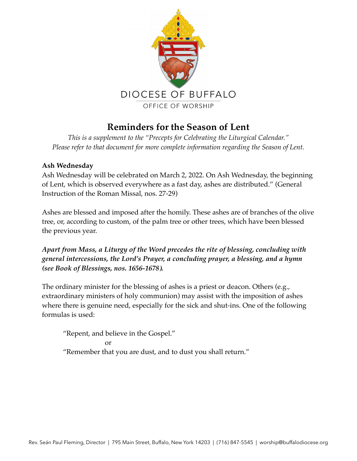

# **Reminders for the Season of Lent**

*This is a supplement to the "Precepts for Celebrating the Liturgical Calendar." Please refer to that document for more complete information regarding the Season of Lent.* 

# **Ash Wednesday**

Ash Wednesday will be celebrated on March 2, 2022. On Ash Wednesday, the beginning of Lent, which is observed everywhere as a fast day, ashes are distributed." (General Instruction of the Roman Missal, nos. 27-29)

Ashes are blessed and imposed after the homily. These ashes are of branches of the olive tree, or, according to custom, of the palm tree or other trees, which have been blessed the previous year.

*Apart from Mass, a Liturgy of the Word precedes the rite of blessing, concluding with general intercessions, the Lord's Prayer, a concluding prayer, a blessing, and a hymn (see Book of Blessings, nos. 1656-1678).* 

The ordinary minister for the blessing of ashes is a priest or deacon. Others (e.g., extraordinary ministers of holy communion) may assist with the imposition of ashes where there is genuine need, especially for the sick and shut-ins. One of the following formulas is used:

"Repent, and believe in the Gospel." or "Remember that you are dust, and to dust you shall return."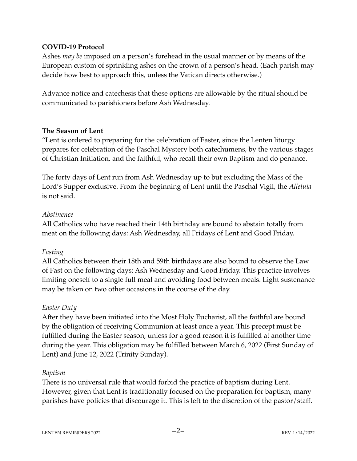## **COVID-19 Protocol**

Ashes *may be* imposed on a person's forehead in the usual manner or by means of the European custom of sprinkling ashes on the crown of a person's head. (Each parish may decide how best to approach this, unless the Vatican directs otherwise.)

Advance notice and catechesis that these options are allowable by the ritual should be communicated to parishioners before Ash Wednesday.

#### **The Season of Lent**

"Lent is ordered to preparing for the celebration of Easter, since the Lenten liturgy prepares for celebration of the Paschal Mystery both catechumens, by the various stages of Christian Initiation, and the faithful, who recall their own Baptism and do penance.

The forty days of Lent run from Ash Wednesday up to but excluding the Mass of the Lord's Supper exclusive. From the beginning of Lent until the Paschal Vigil, the *Alleluia* is not said.

#### *Abstinence*

All Catholics who have reached their 14th birthday are bound to abstain totally from meat on the following days: Ash Wednesday, all Fridays of Lent and Good Friday.

## *Fasting*

All Catholics between their 18th and 59th birthdays are also bound to observe the Law of Fast on the following days: Ash Wednesday and Good Friday. This practice involves limiting oneself to a single full meal and avoiding food between meals. Light sustenance may be taken on two other occasions in the course of the day.

#### *Easter Duty*

After they have been initiated into the Most Holy Eucharist, all the faithful are bound by the obligation of receiving Communion at least once a year. This precept must be fulfilled during the Easter season, unless for a good reason it is fulfilled at another time during the year. This obligation may be fulfilled between March 6, 2022 (First Sunday of Lent) and June 12, 2022 (Trinity Sunday).

#### *Baptism*

There is no universal rule that would forbid the practice of baptism during Lent. However, given that Lent is traditionally focused on the preparation for baptism, many parishes have policies that discourage it. This is left to the discretion of the pastor/staff.